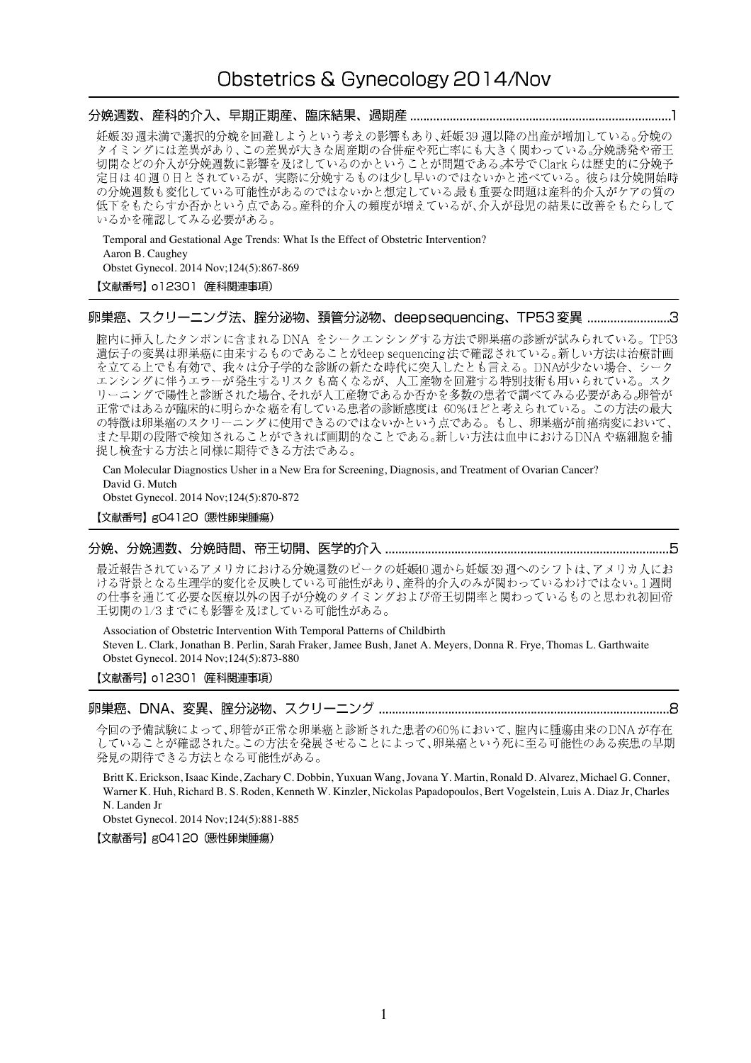# Obstetrics & Gynecology 2014/Nov

妊娠39週未満で選択的分娩を回避しようという考えの影響もあり、妊娠39週以降の出産が増加している。分娩の タイミングには差異があり、この差異が大きな周産期の合併症や死亡率にも大きく関わっている。分娩誘発や帝王 切開などの介入が分娩週数に影響を及ぼしているのかということが問題である。本号でClarkらは歴史的に分娩予 定日は40週0日とされているが、実際に分娩するものは少し早いのではないかと述べている。彼らは分娩開始時 の分娩週数も変化している可能性があるのではないかと想定している最も重要な問題は産科的介入がケアの質の 低下をもたらすか否かという点である。産科的介入の頻度が増えているが、介入が母児の結果に改善をもたらして いるかを確認してみる必要がある。

Temporal and Gestational Age Trends: What Is the Effect of Obstetric Intervention? Aaron B. Caughey Obstet Gynecol. 2014 Nov;124(5):867-869

### 【文献番号】 o12301 産科関連事項)

## 卵巣癌、スクリーニング法、腟分泌物、頚管分泌物、deepsequencing、TP53変異 ..........................3

腟内に挿入したタンポンに含まれる DNA をシークエンシングする方法で卵巣癌の診断が試みられている。TP53 遺伝子の変異は卵巣癌に由来するものであることがdeep sequencing 法で確認されている。新しい方法は治療計画 を立てる上でも有効で、我々は分子学的な診断の新たな時代に突入したとも言える。DNAが少ない場合、シーク エンシングに伴うエラーが発生するリスクも高くなるが、人工産物を回避する特別技術も用いられている。スク リーニングで陽性と診断された場合、それが人工産物であるか否かを多数の患者で調べてみる必要がある。卵管が 正常ではあるが臨床的に明らかな癌を有している患者の診断感度は 60%ほどと考えられている。この方法の最大 の特徴は卵巣癌のスクリーニングに使用できるのではないかという点である。もし、卵巣癌が前癌病変において、 また早期の段階で検知されることができれば画期的なことである。新しい方法は血中におけるDNAや癌細胞を捕 捉し検査する方法と同様に期待できる方法である。

Can Molecular Diagnostics Usher in a New Era for Screening, Diagnosis, and Treatment of Ovarian Cancer? David G. Mutch

Obstet Gynecol. 2014 Nov;124(5):870-872

【文献番号】gO4120 (悪性卵巣腫瘍)

# 

最近報告されているアメリカにおける分娩週数のピークの妊娠40週から妊娠39週へのシフトは、アメリカ人にお ける背景となる生理学的変化を反映している可能性があり、産科的介入のみが関わっているわけではない。1週間 の仕事を通じて必要な医療以外の因子が分娩のタイミングおよび帝王切開率と関わっているものと思われ初回帝 王切開の1/3までにも影響を及ぼしている可能性がある。

Association of Obstetric Intervention With Temporal Patterns of Childbirth

Steven L. Clark, Jonathan B. Perlin, Sarah Fraker, Jamee Bush, Janet A. Meyers, Donna R. Frye, Thomas L. Garthwaite Obstet Gynecol. 2014 Nov;124(5):873-880

【文献番号】 o12301 産科関連事項)

今回の予備試験によって、卵管が正常な卵巣癌と診断された患者の60%において、腟内に腫瘍由来のDNAが存在 していることが確認された。この方法を発展させることによって、卵巣癌という死に至る可能性のある疾患の早期 発見の期待できる方法となる可能性がある。

Britt K. Erickson, Isaac Kinde, Zachary C. Dobbin, Yuxuan Wang, Jovana Y. Martin, Ronald D. Alvarez, Michael G. Conner, Warner K. Huh, Richard B. S. Roden, Kenneth W. Kinzler, Nickolas Papadopoulos, Bert Vogelstein, Luis A. Diaz Jr, Charles N. Landen Jr

Obstet Gynecol. 2014 Nov;124(5):881-885

【文献番号】g04120 (悪性卵巣腫瘍)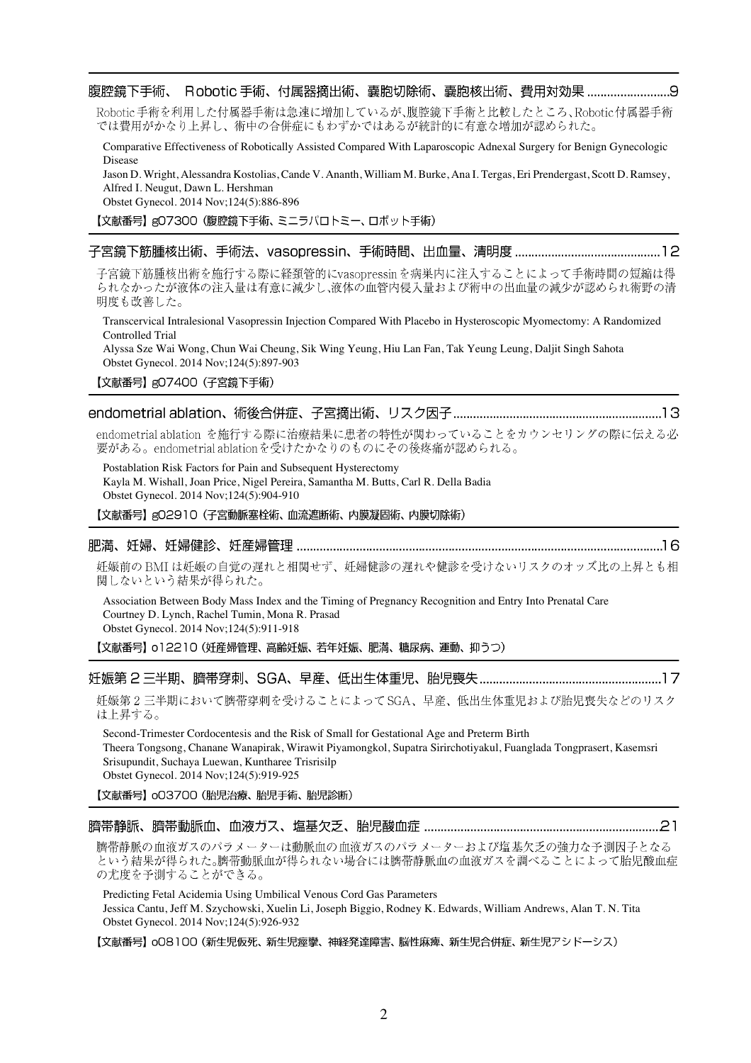Robotic手術を利用した付属器手術は急速に増加しているが、腹腔鏡下手術と比較したところ、Robotic付属器手術 では費用がかなり上昇し、術中の合併症にもわずかではあるが統計的に有意な増加が認められた。

Comparative Effectiveness of Robotically Assisted Compared With Laparoscopic Adnexal Surgery for Benign Gynecologic Disease

Jason D. Wright, Alessandra Kostolias, Cande V. Ananth, William M. Burke, Ana I. Tergas, Eri Prendergast, Scott D. Ramsey, Alfred I. Neugut, Dawn L. Hershman

Obstet Gynecol. 2014 Nov;124(5):886-896

【文献番号】gO7300 (腹腔鏡下手術、ミニラパロトミー、ロボット手術)

|--|--|--|--|--|--|

子宮鏡下筋腫核出術を施行する際に経頚管的にvasopressinを病巣内に注入することによって手術時間の短縮は得 られなかったが液体の注入量は有意に減少し、液体の血管内侵入量および術中の出血量の減少が認められ術野の清 明度も改善した。

Transcervical Intralesional Vasopressin Injection Compared With Placebo in Hysteroscopic Myomectomy: A Randomized Controlled Trial

Alyssa Sze Wai Wong, Chun Wai Cheung, Sik Wing Yeung, Hiu Lan Fan, Tak Yeung Leung, Daljit Singh Sahota Obstet Gynecol. 2014 Nov;124(5):897-903

【文献番号】gO7400 (子宮鏡下手術)

# 

endometrial ablation を施行する際に治療結果に患者の特性が関わっていることをカウンセリングの際に伝える必 要がある。endometrial ablation を受けたかなりのものにその後疼痛が認められる。

Postablation Risk Factors for Pain and Subsequent Hysterectomy Kayla M. Wishall, Joan Price, Nigel Pereira, Samantha M. Butts, Carl R. Della Badia Obstet Gynecol. 2014 Nov;124(5):904-910

【文献番号】gO2910 (子宮動脈塞栓術、血流遮断術、内膜凝固術、内膜切除術)

### 

妊娠前の BMI は妊娠の自覚の遅れと相関せず、妊婦健診の遅れや健診を受けないリスクのオッズ比の上昇とも相 関しないという結果が得られた。

Association Between Body Mass Index and the Timing of Pregnancy Recognition and Entry Into Prenatal Care Courtney D. Lynch, Rachel Tumin, Mona R. Prasad Obstet Gynecol. 2014 Nov;124(5):911-918

【文献番号】 o12210 (妊産婦管理、高齢妊娠、若年妊娠、肥満、糖尿病、運動、抑うつ)

## 

妊娠第2三半期において臍帯穿刺を受けることによってSGA、早産、低出生体重児および胎児喪失などのリスク は上昇する。

Second-Trimester Cordocentesis and the Risk of Small for Gestational Age and Preterm Birth Theera Tongsong, Chanane Wanapirak, Wirawit Piyamongkol, Supatra Sirirchotiyakul, Fuanglada Tongprasert, Kasemsri Srisupundit, Suchaya Luewan, Kuntharee Trisrisilp Obstet Gynecol. 2014 Nov;124(5):919-925

【文献番号】 003700 (胎児治療、胎児手術、胎児診断)

### 

臍帯静脈の血液ガスのパラメーターは動脈血の血液ガスのパラメーターおよび塩基欠乏の強力な予測因子となる という結果が得られた。臍帯動脈血が得られない場合には臍帯静脈血の血液ガスを調べることによって胎児酸血症 の尤度を予測することができる。

Predicting Fetal Acidemia Using Umbilical Venous Cord Gas Parameters

Jessica Cantu, Jeff M. Szychowski, Xuelin Li, Joseph Biggio, Rodney K. Edwards, William Andrews, Alan T. N. Tita Obstet Gynecol. 2014 Nov;124(5):926-932

【文献番号】 oO8100 (新生児仮死、新生児痙攣、神経発達障害、脳性麻痺、新生児合併症、新生児アシドーシス)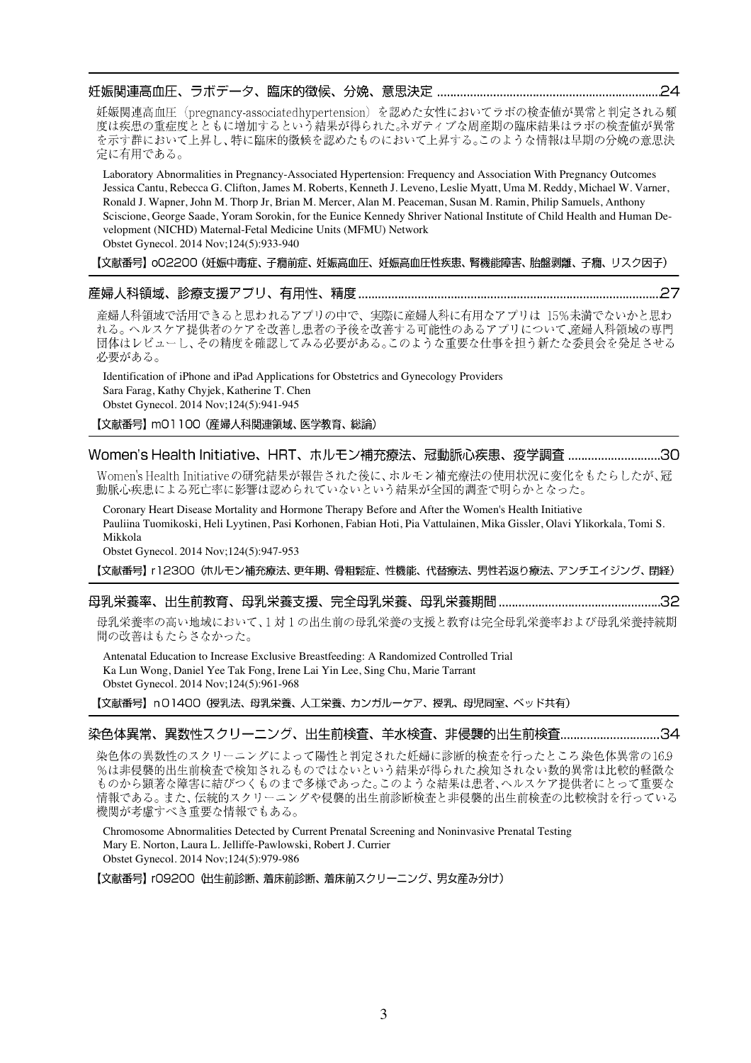|--|

妊娠関連高血圧 (pregnancy-associated hypertension) を認めた女性においてラボの検査値が異常と判定される頻 度は疾患の重症度とともに増加するという結果が得られた。ネガティブな周産期の臨床結果はラボの検査値が異常 を示す群において上昇し、特に臨床的徴候を認めたものにおいて上昇する。このような情報は早期の分娩の意思決 定に有用である。

Laboratory Abnormalities in Pregnancy-Associated Hypertension: Frequency and Association With Pregnancy Outcomes Jessica Cantu, Rebecca G. Clifton, James M. Roberts, Kenneth J. Leveno, Leslie Myatt, Uma M. Reddy, Michael W. Varner, Ronald J. Wapner, John M. Thorp Jr, Brian M. Mercer, Alan M. Peaceman, Susan M. Ramin, Philip Samuels, Anthony Sciscione, George Saade, Yoram Sorokin, for the Eunice Kennedy Shriver National Institute of Child Health and Human Development (NICHD) Maternal-Fetal Medicine Units (MFMU) Network Obstet Gynecol. 2014 Nov;124(5):933-940

【文献番号】 o02200 (妊娠中毒症、子癇前症、妊娠高血圧、妊娠高血圧性疾患、腎機能障害、胎盤剥離、子癇、リスク因子)

#### ……27

産婦人科領域で活用できると思われるアプリの中で、実際に産婦人科に有用なアプリは 15%未満でないかと思わ れる。ヘルスケア提供者のケアを改善し患者の予後を改善する可能性のあるアプリについて産婦人科領域の専門 団体はレビューし、その精度を確認してみる必要がある。このような重要な仕事を担う新たな委員会を発足させる 必要がある。

Identification of iPhone and iPad Applications for Obstetrics and Gynecology Providers Sara Farag, Kathy Chyjek, Katherine T. Chen Obstet Gynecol. 2014 Nov;124(5):941-945

【文献番号】mO1100 (産婦人科関連領域、医学教育、総論)

# Women's Health Initiative、HRT、ホルモン補充療法、冠動脈心疾患、疫学調査 ............................30

Women's Health Initiativeの研究結果が報告された後に、ホルモン補充療法の使用状況に変化をもたらしたが、冠 動脈心疾患による死亡率に影響は認められていないという結果が全国的調査で明らかとなった。

Coronary Heart Disease Mortality and Hormone Therapy Before and After the Women's Health Initiative Pauliina Tuomikoski, Heli Lyytinen, Pasi Korhonen, Fabian Hoti, Pia Vattulainen, Mika Gissler, Olavi Ylikorkala, Tomi S. Mikkola

Obstet Gynecol. 2014 Nov;124(5):947-953

【文献番号】 r12300 (ホルモン補充療法、更年期、骨粗鬆症、性機能、代替療法、男性若返り療法、アンチエイジング、閉経)

# 

母乳栄養率の高い地域において、1対1の出生前の母乳栄養の支援と教育は完全母乳栄養率および母乳栄養持続期 間の改善はもたらさなかった。

Antenatal Education to Increase Exclusive Breastfeeding: A Randomized Controlled Trial Ka Lun Wong, Daniel Yee Tak Fong, Irene Lai Yin Lee, Sing Chu, Marie Tarrant Obstet Gynecol. 2014 Nov;124(5):961-968

【文献番号】n01400 (授乳法、母乳栄養、人工栄養、カンガルーケア、授乳、母児同室、ベッド共有)

## 

染色体の異数性のスクリーニングによって陽性と判定された奸婦に診断的検査を行ったところ染色体異常の16.9 %は非侵襲的出生前検査で検知されるものではないという結果が得られた検知されない数的異常は比較的軽微な 情報である。また、伝統的スクリーニングや侵襲的出生前診断検査と非侵襲的出生前検査の比較検討を行っている 機関が考慮すべき重要な情報でもある。

Chromosome Abnormalities Detected by Current Prenatal Screening and Noninvasive Prenatal Testing Mary E. Norton, Laura L. Jelliffe-Pawlowski, Robert J. Currier Obstet Gynecol. 2014 Nov;124(5):979-986

【文献番号】 rO9200 (出生前診断、着床前診断、着床前スクリーニング、男女産み分け)